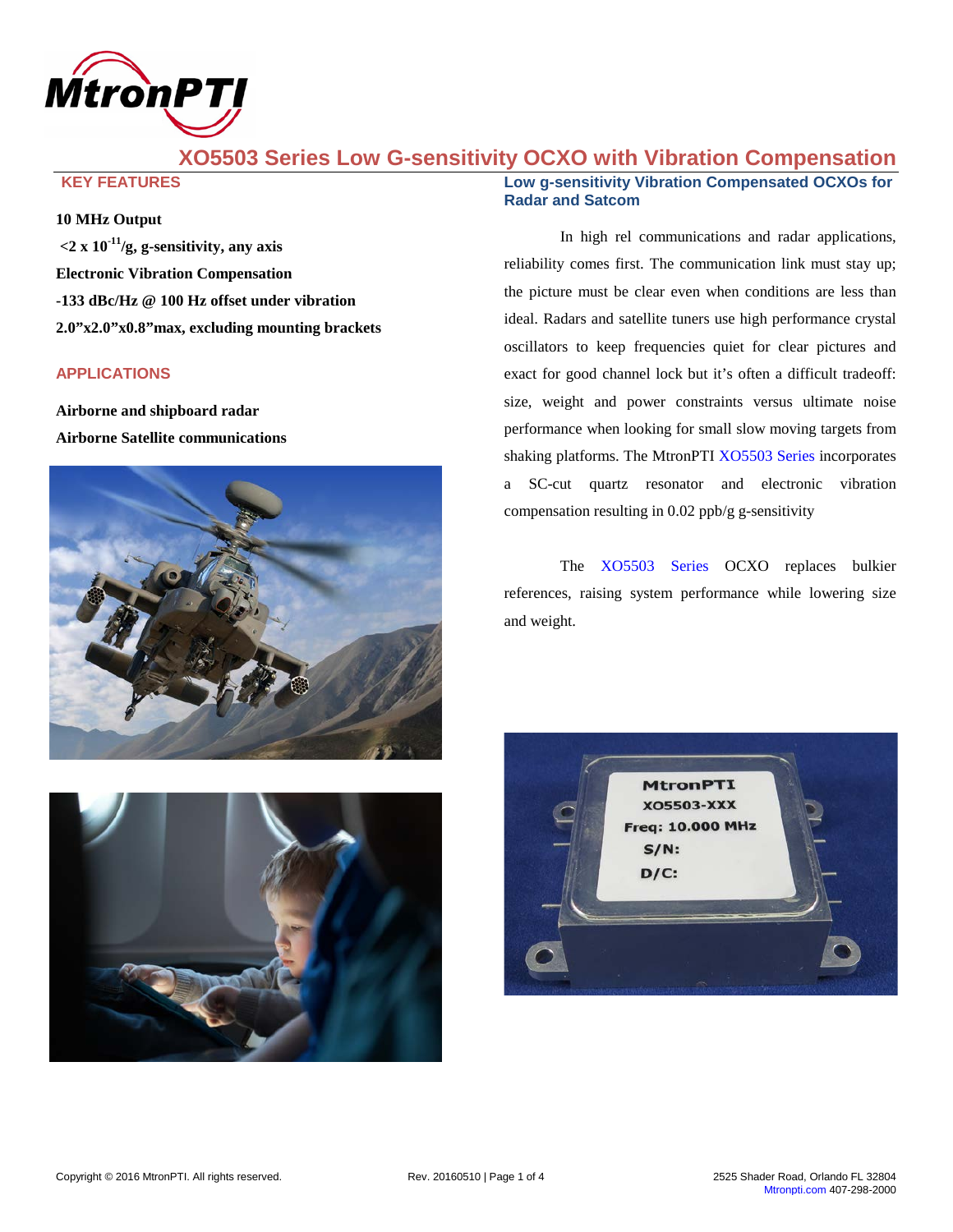

# **XO5503 Series Low G-sensitivity OCXO with Vibration Compensation**

**KEY FEATURES**

### **10 MHz Output**

**<2 x 10-11 /g, g-sensitivity, any axis Electronic Vibration Compensation -133 dBc/Hz @ 100 Hz offset under vibration 2.0"x2.0"x0.8"max, excluding mounting brackets**

#### **APPLICATIONS**

**Airborne and shipboard radar Airborne Satellite communications**





### **Low g-sensitivity Vibration Compensated OCXOs for Radar and Satcom**

In high rel communications and radar applications, reliability comes first. The communication link must stay up; the picture must be clear even when conditions are less than ideal. Radars and satellite tuners use high performance crystal oscillators to keep frequencies quiet for clear pictures and exact for good channel lock but it's often a difficult tradeoff: size, weight and power constraints versus ultimate noise performance when looking for small slow moving targets from shaking platforms. The MtronPTI [XO5503](http://www.mtronpti.com/products/Oscillator/OCXO/xo5500-series) Series incorporates a SC-cut quartz resonator and electronic vibration compensation resulting in 0.02 ppb/g g-sensitivity

The [XO5503](http://www.mtronpti.com/products/Oscillator/OCXO/xo5500-series) Series OCXO replaces bulkier references, raising system performance while lowering size and weight.

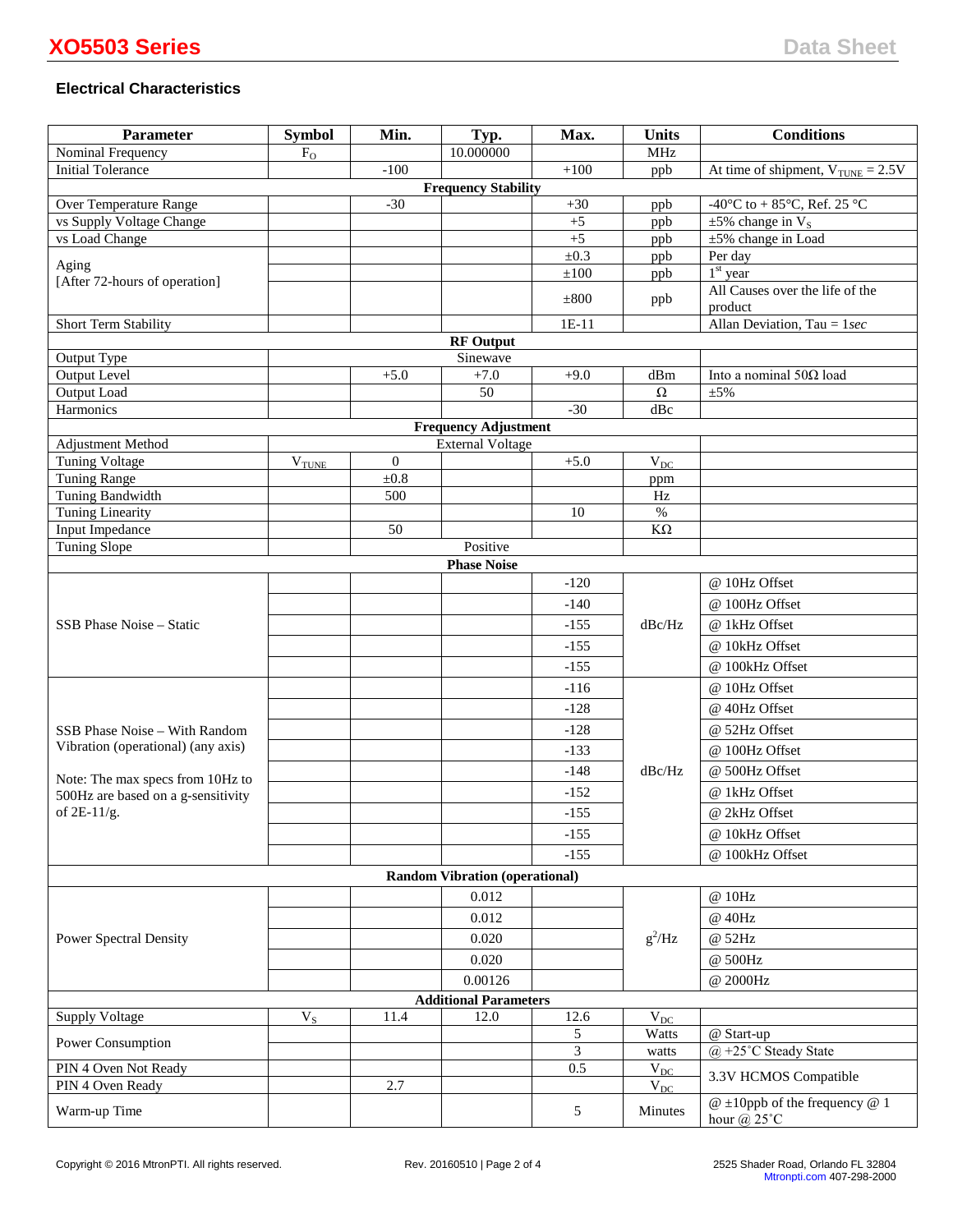# **Electrical Characteristics**

| <b>Parameter</b>                           | <b>Symbol</b>     | Min.           | Typ.                                  | Max.                 | <b>Units</b>          | <b>Conditions</b>                                           |
|--------------------------------------------|-------------------|----------------|---------------------------------------|----------------------|-----------------------|-------------------------------------------------------------|
| Nominal Frequency                          | $F_{O}$           |                | 10.000000                             |                      | <b>MHz</b>            |                                                             |
| <b>Initial Tolerance</b>                   |                   | $-100$         |                                       | $+100$               | ppb                   | At time of shipment, $V_{\text{TUNE}} = 2.5V$               |
|                                            |                   |                | <b>Frequency Stability</b>            |                      |                       |                                                             |
| Over Temperature Range                     |                   | $-30$          |                                       | $+30$                | ppb                   | -40°C to + 85°C, Ref. 25 °C                                 |
| vs Supply Voltage Change<br>vs Load Change |                   |                |                                       | $+5$<br>$+5$         | ppb<br>ppb            | $\pm 5\%$ change in V <sub>s</sub><br>$±5\%$ change in Load |
|                                            |                   |                |                                       | $\pm 0.3$            | ppb                   | Per day                                                     |
| Aging                                      |                   |                |                                       | $\pm 10\overline{0}$ | ppb                   | $1st$ year                                                  |
| [After 72-hours of operation]              |                   |                |                                       |                      |                       | All Causes over the life of the                             |
|                                            |                   |                |                                       | $\pm 800$            | ppb                   | product                                                     |
| Short Term Stability                       |                   |                |                                       | $1E-11$              |                       | Allan Deviation, Tau = $1 sec$                              |
|                                            |                   |                | <b>RF</b> Output                      |                      |                       |                                                             |
| Output Type                                |                   |                | Sinewave                              |                      |                       |                                                             |
| Output Level                               |                   | $+5.0$         | $+7.0$                                | $+9.0$               | dBm                   | Into a nominal $50\Omega$ load                              |
| Output Load<br>Harmonics                   |                   |                | 50                                    | $-30$                | $\Omega$<br>dBc       | $\pm 5\%$                                                   |
|                                            |                   |                | <b>Frequency Adjustment</b>           |                      |                       |                                                             |
| <b>Adjustment Method</b>                   |                   |                | <b>External Voltage</b>               |                      |                       |                                                             |
| Tuning Voltage                             | $V_{\text{TUNE}}$ | $\overline{0}$ |                                       | $+5.0$               | $\rm V_{DC}$          |                                                             |
| <b>Tuning Range</b>                        |                   | ±0.8           |                                       |                      | ppm                   |                                                             |
| Tuning Bandwidth                           |                   | 500            |                                       |                      | Hz                    |                                                             |
| <b>Tuning Linearity</b>                    |                   |                |                                       | 10                   | $\%$                  |                                                             |
| Input Impedance                            |                   | 50             |                                       |                      | $K\Omega$             |                                                             |
| Tuning Slope                               |                   |                | Positive                              |                      |                       |                                                             |
|                                            |                   |                | <b>Phase Noise</b>                    |                      |                       |                                                             |
|                                            |                   |                |                                       | $-120$               |                       | @ 10Hz Offset                                               |
|                                            |                   |                |                                       | $-140$               | dBc/Hz                | @ 100Hz Offset                                              |
| SSB Phase Noise – Static                   |                   |                |                                       | $-155$               |                       | @ 1kHz Offset                                               |
|                                            |                   |                |                                       | $-155$               |                       | @ 10kHz Offset                                              |
|                                            |                   |                |                                       | $-155$               |                       | @ 100kHz Offset                                             |
|                                            |                   |                |                                       | $-116$               | dBc/Hz                | @ 10Hz Offset                                               |
|                                            |                   |                |                                       | $-128$               |                       | @ 40Hz Offset                                               |
| SSB Phase Noise - With Random              |                   |                |                                       | $-128$               |                       | @ 52Hz Offset                                               |
| Vibration (operational) (any axis)         |                   |                |                                       |                      |                       |                                                             |
|                                            |                   |                |                                       | $-133$               |                       | @ 100Hz Offset                                              |
| Note: The max specs from 10Hz to           |                   |                |                                       | $-148$               |                       | @ 500Hz Offset                                              |
| 500Hz are based on a g-sensitivity         |                   |                |                                       | $-152$               |                       | @ 1kHz Offset                                               |
| of 2E-11/g.                                |                   |                |                                       | $-155$               |                       | @ 2kHz Offset                                               |
|                                            |                   |                |                                       | $-155$               |                       | @ 10kHz Offset                                              |
|                                            |                   |                |                                       | $-155$               |                       | @ 100kHz Offset                                             |
|                                            |                   |                | <b>Random Vibration (operational)</b> |                      |                       |                                                             |
|                                            |                   |                | 0.012                                 |                      |                       | @ 10Hz                                                      |
|                                            |                   |                | 0.012                                 |                      | $g^2$ /Hz             | @ 40Hz                                                      |
| <b>Power Spectral Density</b>              |                   |                | 0.020                                 |                      |                       | @ 52Hz                                                      |
|                                            |                   |                |                                       |                      |                       |                                                             |
|                                            |                   |                | 0.020<br>0.00126                      |                      |                       | @ 500Hz                                                     |
|                                            |                   |                |                                       | @ 2000Hz             |                       |                                                             |
|                                            |                   |                | <b>Additional Parameters</b>          |                      |                       |                                                             |
| <b>Supply Voltage</b>                      | $V_S$             | 11.4           | 12.0                                  | 12.6                 | $\rm V_{DC}$<br>Watts | @ Start-up                                                  |
| Power Consumption                          |                   |                |                                       | 5<br>3               | watts                 | $(a)$ +25°C Steady State                                    |
| PIN 4 Oven Not Ready                       |                   |                |                                       | 0.5                  | $V_{DC}$              |                                                             |
| PIN 4 Oven Ready                           |                   | 2.7            |                                       |                      | $V_{DC}$              | 3.3V HCMOS Compatible                                       |
| Warm-up Time                               |                   |                |                                       | 5                    | Minutes               | $@ \pm 10$ ppb of the frequency $@ 1$<br>hour $@$ 25 $°C$   |
|                                            |                   |                |                                       |                      |                       |                                                             |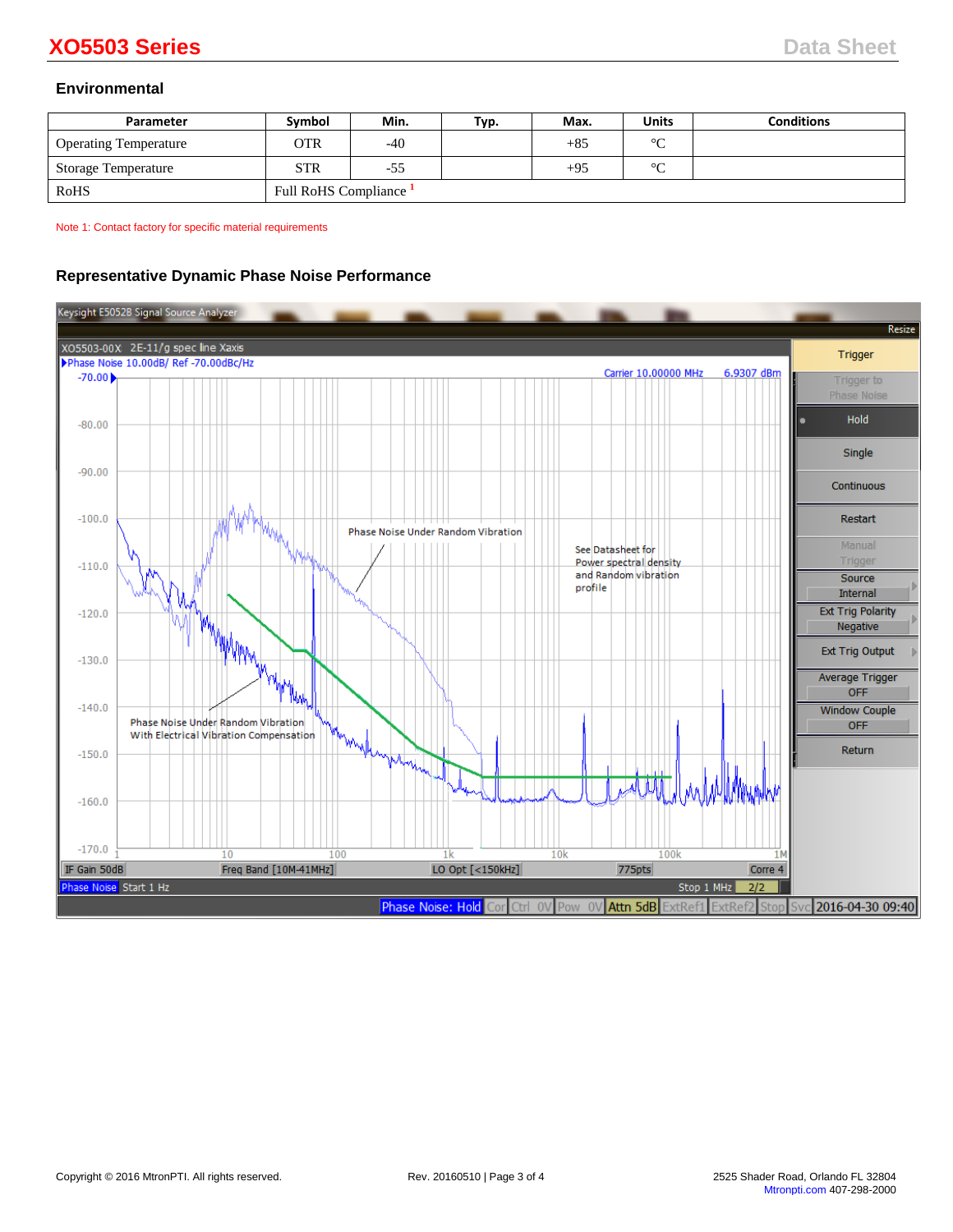# **Environmental**

| Parameter                    | <b>Symbol</b>        | Min.  | Typ. | Max.  | <b>Units</b> | <b>Conditions</b> |
|------------------------------|----------------------|-------|------|-------|--------------|-------------------|
| <b>Operating Temperature</b> | OTR                  | $-40$ |      | $+85$ | $\circ$      |                   |
| Storage Temperature          | <b>STR</b>           | $-55$ |      | $+95$ | $\sim$       |                   |
| RoHS                         | Full RoHS Compliance |       |      |       |              |                   |

Note 1: Contact factory for specific material requirements

# **Representative Dynamic Phase Noise Performance**